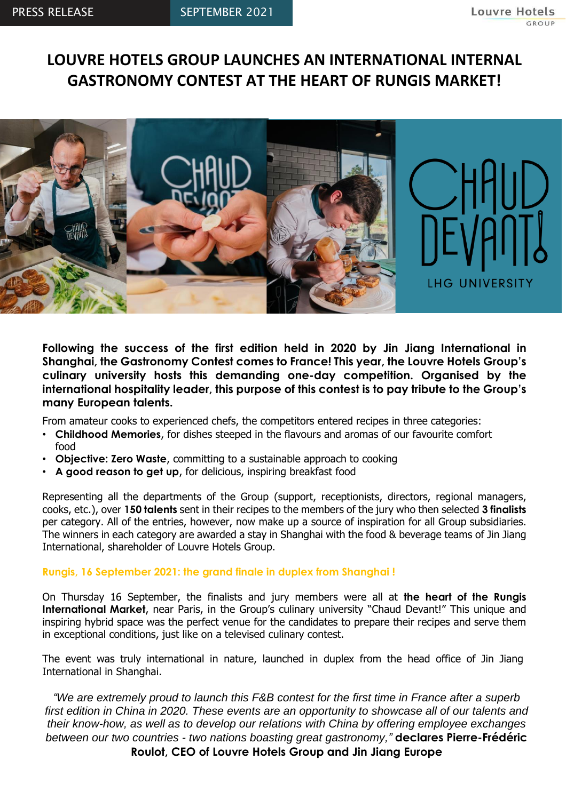# **LOUVRE HOTELS GROUP LAUNCHES AN INTERNATIONAL INTERNAL GASTRONOMY CONTEST AT THE HEART OF RUNGIS MARKET!**



#### **Following the success of the first edition held in 2020 by Jin Jiang International in Shanghai, the Gastronomy Contest comes to France! This year, the Louvre Hotels Group's culinary university hosts this demanding one-day competition. Organised by the international hospitality leader, this purpose of this contest is to pay tribute to the Group's many European talents.**

From amateur cooks to experienced chefs, the competitors entered recipes in three categories:

- **Childhood Memories**, for dishes steeped in the flavours and aromas of our favourite comfort food
- **Objective: Zero Waste**, committing to a sustainable approach to cooking
- **A good reason to get up**, for delicious, inspiring breakfast food

Representing all the departments of the Group (support, receptionists, directors, regional managers, cooks, etc.), over **150 talents** sent in their recipes to the members of the jury who then selected **3 finalists**  per category. All of the entries, however, now make up a source of inspiration for all Group subsidiaries. The winners in each category are awarded a stay in Shanghai with the food & beverage teams of Jin Jiang International, shareholder of Louvre Hotels Group.

### **Rungis, 16 September 2021: the grand finale in duplex from Shanghai !**

On Thursday 16 September, the finalists and jury members were all at **the heart of the Rungis International Market**, near Paris, in the Group's culinary university "Chaud Devant!" This unique and inspiring hybrid space was the perfect venue for the candidates to prepare their recipes and serve them in exceptional conditions, just like on a televised culinary contest.

The event was truly international in nature, launched in duplex from the head office of Jin Jiang International in Shanghai.

*"We are extremely proud to launch this F&B contest for the first time in France after a superb first edition in China in 2020. These events are an opportunity to showcase all of our talents and their know-how, as well as to develop our relations with China by offering employee exchanges between our two countries - two nations boasting great gastronomy,"* **declares Pierre-Frédéric Roulot, CEO of Louvre Hotels Group and Jin Jiang Europe**